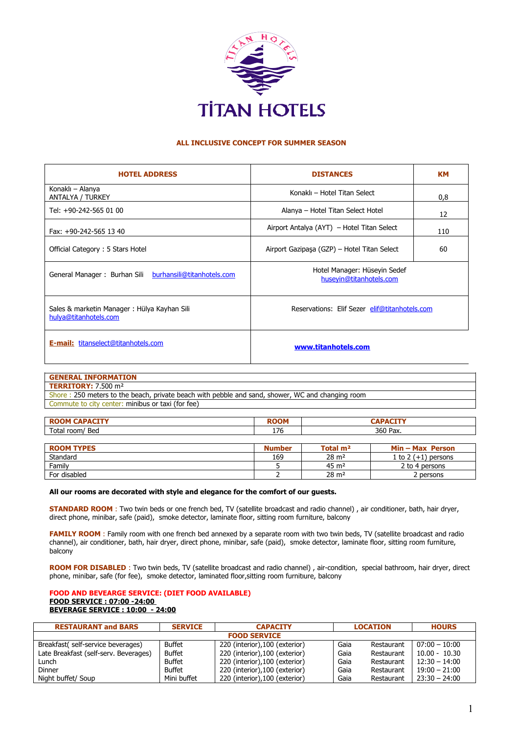

## **ALL INCLUSIVE CONCEPT FOR SUMMER SEASON**

| <b>HOTEL ADDRESS</b>                                                 | <b>DISTANCES</b>                                        | KМ  |  |
|----------------------------------------------------------------------|---------------------------------------------------------|-----|--|
| Konaklı – Alanya<br>ANTALYA / TURKEY                                 | Konaklı - Hotel Titan Select                            | 0,8 |  |
| Tel: +90-242-565 01 00                                               | Alanya – Hotel Titan Select Hotel                       | 12  |  |
| Fax: +90-242-565 13 40                                               | Airport Antalya (AYT) – Hotel Titan Select              | 110 |  |
| Official Category: 5 Stars Hotel                                     | Airport Gazipaşa (GZP) – Hotel Titan Select             | 60  |  |
| General Manager: Burhan Sili burhansili@titanhotels.com              | Hotel Manager: Hüseyin Sedef<br>huseyin@titanhotels.com |     |  |
| Sales & marketin Manager: Hülya Kayhan Sili<br>hulya@titanhotels.com | Reservations: Elif Sezer elif@titanhotels.com           |     |  |
| <b>E-mail:</b> titanselect@titanhotels.com                           | www.titanhotels.com                                     |     |  |

| <b>GENERAL INFORMATION</b>                                                                       |
|--------------------------------------------------------------------------------------------------|
| <b>TERRITORY: 7.500 m<sup>2</sup></b>                                                            |
| Shore: 250 meters to the beach, private beach with pebble and sand, shower, WC and changing room |
| Commute to city center: minibus or taxi (for fee)                                                |

| IN                                | <b>DOOM</b><br>лM |          |
|-----------------------------------|-------------------|----------|
| Tota <sub>ı</sub><br>Bed<br>room/ | 17C<br>170        | 360 Pax. |
|                                   |                   |          |

| <b>ROOM TYPES</b> | <b>Number</b> | Total m <sup>2</sup> | $Min - Max$ Person    |
|-------------------|---------------|----------------------|-----------------------|
| Standard          | 169           | $28 \text{ m}^2$     | 1 to $2 (+1)$ persons |
| Family            |               | $45 \; \mathrm{m}^2$ | 2 to 4 persons        |
| For disabled      |               | $28 \text{ m}^2$     | 2 persons             |

## **All our rooms are decorated with style and elegance for the comfort of our guests.**

**STANDARD ROOM** : Two twin beds or one french bed, TV (satellite broadcast and radio channel), air conditioner, bath, hair dryer, direct phone, minibar, safe (paid), smoke detector, laminate floor, sitting room furniture, balcony

FAMILY ROOM : Family room with one french bed annexed by a separate room with two twin beds, TV (satellite broadcast and radio channel), air conditioner, bath, hair dryer, direct phone, minibar, safe (paid), smoke detector, laminate floor, sitting room furniture, balcony

ROOM FOR DISABLED : Two twin beds, TV (satellite broadcast and radio channel), air-condition, special bathroom, hair dryer, direct phone, minibar, safe (for fee), smoke detector, laminated floor,sitting room furnitıure, balcony

## **FOOD AND BEVEARGE SERVICE: (DIET FOOD AVAILABLE) FOOD SERVICE : 07:00 -24:00 BEVERAGE SERVICE : 10:00 - 24:00**

| <b>RESTAURANT and BARS</b>            | <b>SERVICE</b> | <b>CAPACITY</b>                | <b>LOCATION</b> |            | <b>HOURS</b>    |  |
|---------------------------------------|----------------|--------------------------------|-----------------|------------|-----------------|--|
| <b>FOOD SERVICE</b>                   |                |                                |                 |            |                 |  |
| Breakfast( self-service beverages)    | <b>Buffet</b>  | 220 (interior), 100 (exterior) | Gaia            | Restaurant | $07:00 - 10:00$ |  |
| Late Breakfast (self-serv. Beverages) | <b>Buffet</b>  | 220 (interior), 100 (exterior) | Gaia            | Restaurant | $10.00 - 10.30$ |  |
| Lunch                                 | <b>Buffet</b>  | 220 (interior), 100 (exterior) | Gaia            | Restaurant | $12:30 - 14:00$ |  |
| Dinner                                | <b>Buffet</b>  | 220 (interior), 100 (exterior) | Gaia            | Restaurant | $19:00 - 21:00$ |  |
| Night buffet/ Soup                    | Mini buffet    | 220 (interior), 100 (exterior) | Gaia            | Restaurant | $23:30 - 24:00$ |  |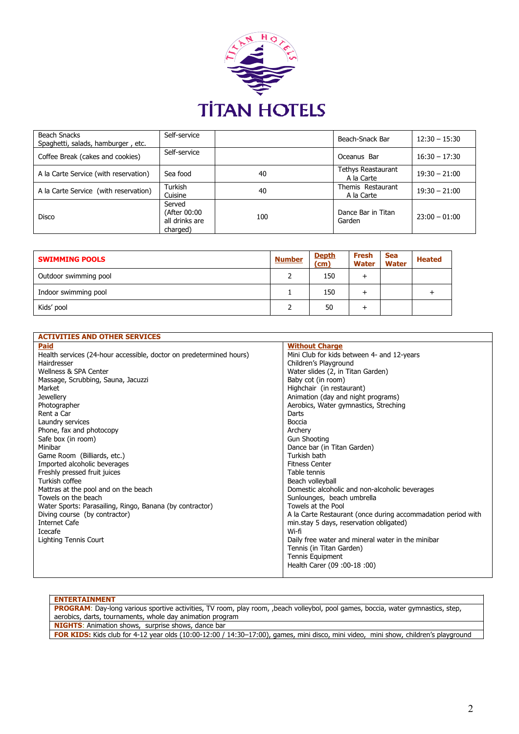

| <b>Beach Snacks</b><br>Spaghetti, salads, hamburger, etc. | Self-service                                         |     | Beach-Snack Bar                         | $12:30 - 15:30$ |
|-----------------------------------------------------------|------------------------------------------------------|-----|-----------------------------------------|-----------------|
| Coffee Break (cakes and cookies)                          | Self-service                                         |     | Oceanus Bar                             | $16:30 - 17:30$ |
| A la Carte Service (with reservation)                     | Sea food                                             | 40  | <b>Tethys Reastaurant</b><br>A la Carte | $19:30 - 21:00$ |
| A la Carte Service (with reservation)                     | Turkish<br>Cuisine                                   | 40  | Themis Restaurant<br>A la Carte         | $19:30 - 21:00$ |
| <b>Disco</b>                                              | Served<br>(After 00:00<br>all drinks are<br>charged) | 100 | Dance Bar in Titan<br>Garden            | $23:00 - 01:00$ |

| <b>SWIMMING POOLS</b> | <b>Number</b> | <b>Depth</b><br>(cm) | Fresh<br><b>Water</b> | <b>Sea</b><br><b>Water</b> | <b>Heated</b> |
|-----------------------|---------------|----------------------|-----------------------|----------------------------|---------------|
| Outdoor swimming pool |               | 150                  |                       |                            |               |
| Indoor swimming pool  |               | 150                  |                       |                            |               |
| Kids' pool            |               | 50                   |                       |                            |               |

| <b>ACTIVITIES AND OTHER SERVICES</b>                                |                                                              |
|---------------------------------------------------------------------|--------------------------------------------------------------|
| <b>Paid</b>                                                         | <b>Without Charge</b>                                        |
| Health services (24-hour accessible, doctor on predetermined hours) | Mini Club for kids between 4- and 12-years                   |
| Hairdresser                                                         | Children's Playground                                        |
| Wellness & SPA Center                                               | Water slides (2, in Titan Garden)                            |
| Massage, Scrubbing, Sauna, Jacuzzi                                  | Baby cot (in room)                                           |
| Market                                                              | Highchair (in restaurant)                                    |
| <b>Jewellery</b>                                                    | Animation (day and night programs)                           |
| Photographer                                                        | Aerobics, Water gymnastics, Streching                        |
| Rent a Car                                                          | Darts                                                        |
| Laundry services                                                    | Boccia                                                       |
| Phone, fax and photocopy                                            | Archery                                                      |
| Safe box (in room)                                                  | <b>Gun Shooting</b>                                          |
| Minibar                                                             | Dance bar (in Titan Garden)                                  |
| Game Room (Billiards, etc.)                                         | Turkish bath                                                 |
| Imported alcoholic beverages                                        | <b>Fitness Center</b>                                        |
| Freshly pressed fruit juices                                        | Table tennis                                                 |
| Turkish coffee                                                      | Beach volleyball                                             |
| Mattras at the pool and on the beach                                | Domestic alcoholic and non-alcoholic beverages               |
| Towels on the beach                                                 | Sunlounges, beach umbrella                                   |
| Water Sports: Parasailing, Ringo, Banana (by contractor)            | Towels at the Pool                                           |
| Diving course (by contractor)                                       | A la Carte Restaurant (once during accommadation period with |
| Internet Cafe                                                       | min.stay 5 days, reservation obligated)                      |
| Icecafe                                                             | Wi-fi                                                        |
| Lighting Tennis Court                                               | Daily free water and mineral water in the minibar            |
|                                                                     | Tennis (in Titan Garden)                                     |
|                                                                     | Tennis Equipment                                             |
|                                                                     | Health Carer (09:00-18:00)                                   |
|                                                                     |                                                              |

| <b>ENTERTAINMENT</b>                                                                                                                       |
|--------------------------------------------------------------------------------------------------------------------------------------------|
| <b>PROGRAM</b> : Day-long various sportive activities, TV room, play room, beach volleybol, pool games, boccia, water gymnastics, step,    |
| aerobics, darts, tournaments, whole day animation program                                                                                  |
| <b>NIGHTS:</b> Animation shows, surprise shows, dance bar                                                                                  |
| <b>FOR KIDS:</b> Kids club for 4-12 year olds (10:00-12:00 / 14:30-17:00), games, mini disco, mini video, mini show, children's playground |